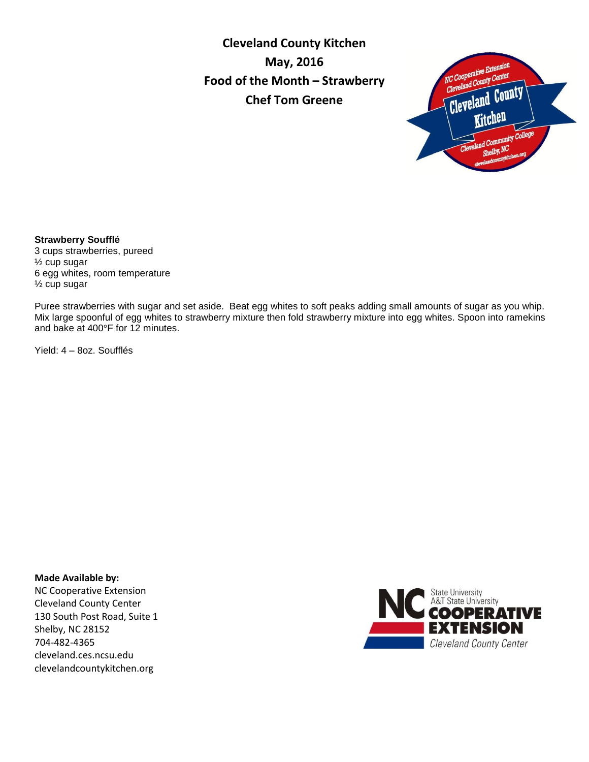**Cleveland County Kitchen May, 2016 Food of the Month – Strawberry Chef Tom Greene**



## **Strawberry Soufflé**

3 cups strawberries, pureed ½ cup sugar 6 egg whites, room temperature ½ cup sugar

Puree strawberries with sugar and set aside. Beat egg whites to soft peaks adding small amounts of sugar as you whip. Mix large spoonful of egg whites to strawberry mixture then fold strawberry mixture into egg whites. Spoon into ramekins and bake at 400°F for 12 minutes.

Yield: 4 – 8oz. Soufflés

**Made Available by:** 

NC Cooperative Extension Cleveland County Center 130 South Post Road, Suite 1 Shelby, NC 28152 704-482-4365 cleveland.ces.ncsu.edu clevelandcountykitchen.org